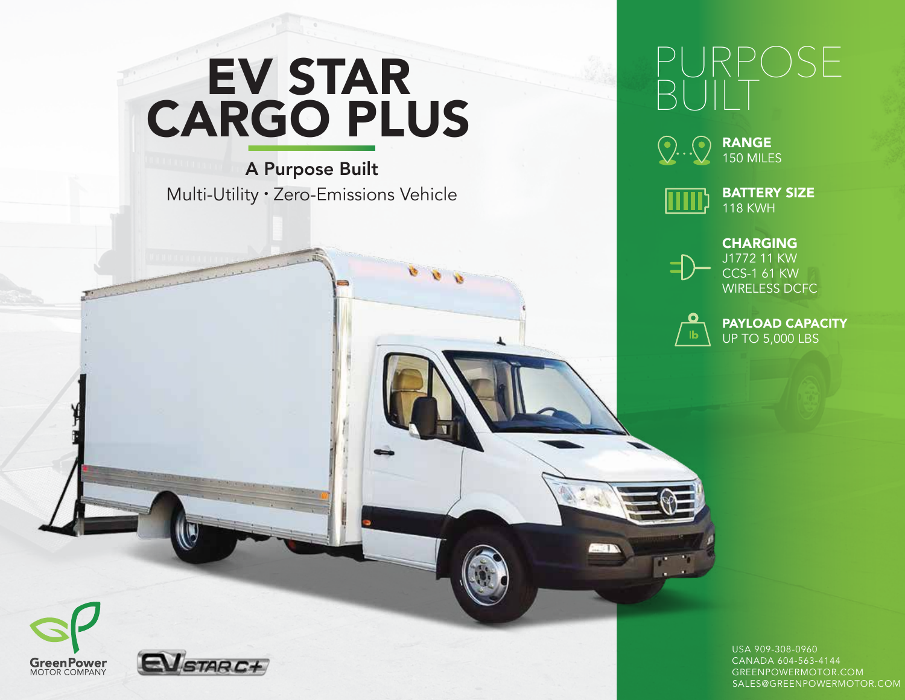# EV STAR CARGO PLUS

A Purpose Built Multi-Utility • Zero-Emissions Vehicle

## PURPOSE BUILT



150 MILES



BATTERY SIZE 118 KWH



J1772 11 KW CCS-1 61 KW WIRELESS DCFC



 $\equiv$ 

PAYLOAD CAPACITY UP TO 5,000 LBS





USA 909-308-0960 CANADA 604-563-4144 GREENPOWERMOTOR.COM SALES@GREENPOWERMOTOR.COM